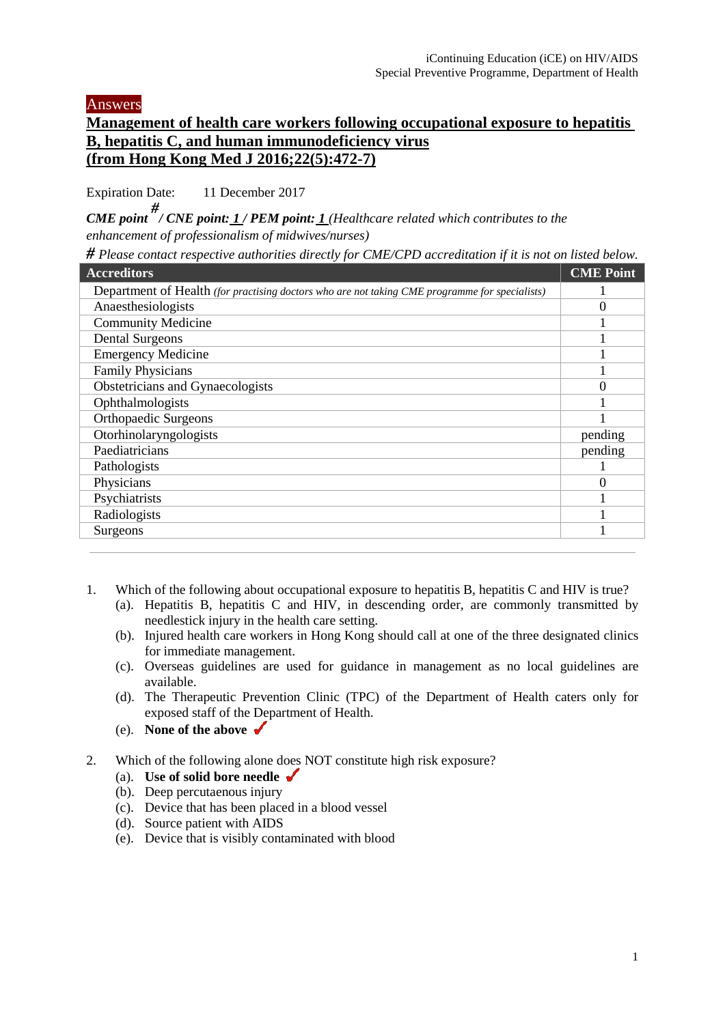Answers

## **Management of health care workers following occupational exposure to hepatitis B, hepatitis C, and human immunodeficiency virus (from Hong Kong Med J 2016;22(5):472-7)**

Expiration Date: 11 December 2017

*CME point # / CNE point: 1 / PEM point: 1 (Healthcare related which contributes to the enhancement of professionalism of midwives/nurses)*

*# Please contact respective authorities directly for CME/CPD accreditation if it is not on listed below.* 

| <b>Accreditors</b>                                                                             | <b>CME Point</b> |
|------------------------------------------------------------------------------------------------|------------------|
| Department of Health (for practising doctors who are not taking CME programme for specialists) |                  |
| Anaesthesiologists                                                                             | U                |
| <b>Community Medicine</b>                                                                      |                  |
| <b>Dental Surgeons</b>                                                                         |                  |
| <b>Emergency Medicine</b>                                                                      |                  |
| <b>Family Physicians</b>                                                                       |                  |
| Obstetricians and Gynaecologists                                                               | 0                |
| Ophthalmologists                                                                               |                  |
| <b>Orthopaedic Surgeons</b>                                                                    |                  |
| Otorhinolaryngologists                                                                         | pending          |
| Paediatricians                                                                                 | pending          |
| Pathologists                                                                                   |                  |
| Physicians                                                                                     | U                |
| Psychiatrists                                                                                  |                  |
| Radiologists                                                                                   |                  |
| Surgeons                                                                                       |                  |
|                                                                                                |                  |

- 1. Which of the following about occupational exposure to hepatitis B, hepatitis C and HIV is true?
	- (a). Hepatitis B, hepatitis C and HIV, in descending order, are commonly transmitted by needlestick injury in the health care setting.
	- (b). Injured health care workers in Hong Kong should call at one of the three designated clinics for immediate management.
	- (c). Overseas guidelines are used for guidance in management as no local guidelines are available.
	- (d). The Therapeutic Prevention Clinic (TPC) of the Department of Health caters only for exposed staff of the Department of Health.
	- (e). **None of the above**
- 2. Which of the following alone does NOT constitute high risk exposure?
	- (a). **Use of solid bore needle**
	- (b). Deep percutaenous injury
	- (c). Device that has been placed in a blood vessel
	- (d). Source patient with AIDS
	- (e). Device that is visibly contaminated with blood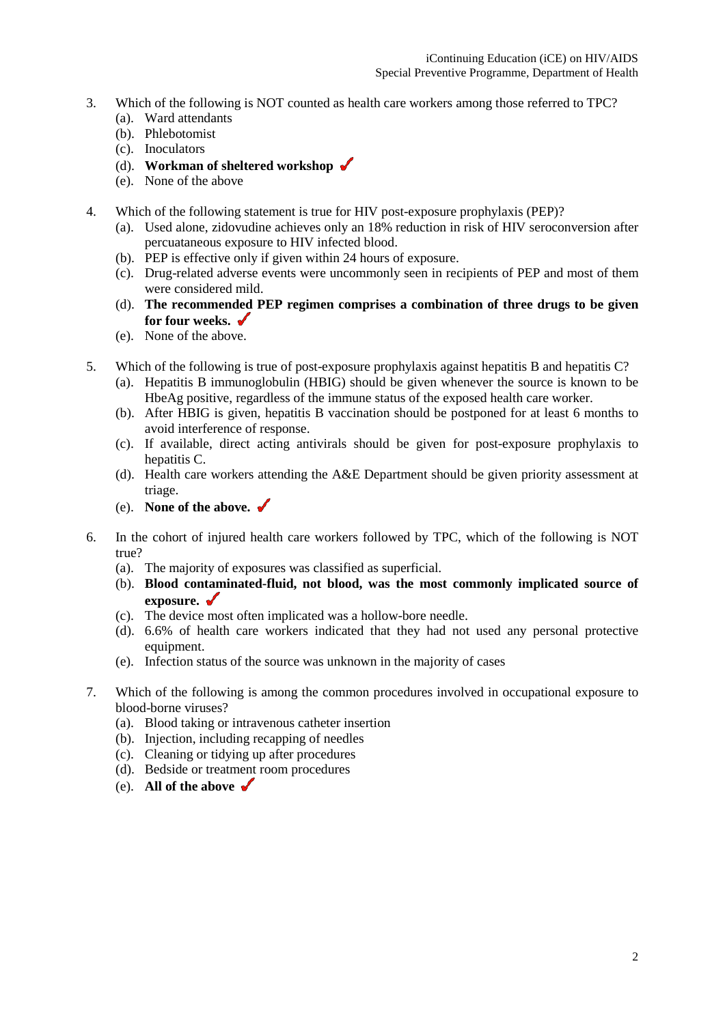- 3. Which of the following is NOT counted as health care workers among those referred to TPC?
	- (a). Ward attendants
	- (b). Phlebotomist
	- (c). Inoculators
	- (d). **Workman of sheltered workshop**
	- (e). None of the above
- 4. Which of the following statement is true for HIV post-exposure prophylaxis (PEP)?
	- (a). Used alone, zidovudine achieves only an 18% reduction in risk of HIV seroconversion after percuataneous exposure to HIV infected blood.
	- (b). PEP is effective only if given within 24 hours of exposure.
	- (c). Drug-related adverse events were uncommonly seen in recipients of PEP and most of them were considered mild.
	- (d). **The recommended PEP regimen comprises a combination of three drugs to be given for four weeks.**
	- (e). None of the above.
- 5. Which of the following is true of post-exposure prophylaxis against hepatitis B and hepatitis C?
	- (a). Hepatitis B immunoglobulin (HBIG) should be given whenever the source is known to be HbeAg positive, regardless of the immune status of the exposed health care worker.
	- (b). After HBIG is given, hepatitis B vaccination should be postponed for at least 6 months to avoid interference of response.
	- (c). If available, direct acting antivirals should be given for post-exposure prophylaxis to hepatitis C.
	- (d). Health care workers attending the A&E Department should be given priority assessment at triage.
	- (e). **None of the above.**
- 6. In the cohort of injured health care workers followed by TPC, which of the following is NOT true?
	- (a). The majority of exposures was classified as superficial.
	- (b). **Blood contaminated-fluid, not blood, was the most commonly implicated source of exposure.**
	- (c). The device most often implicated was a hollow-bore needle.
	- (d). 6.6% of health care workers indicated that they had not used any personal protective equipment.
	- (e). Infection status of the source was unknown in the majority of cases
- 7. Which of the following is among the common procedures involved in occupational exposure to blood-borne viruses?
	- (a). Blood taking or intravenous catheter insertion
	- (b). Injection, including recapping of needles
	- (c). Cleaning or tidying up after procedures
	- (d). Bedside or treatment room procedures
	- (e). **All of the above**